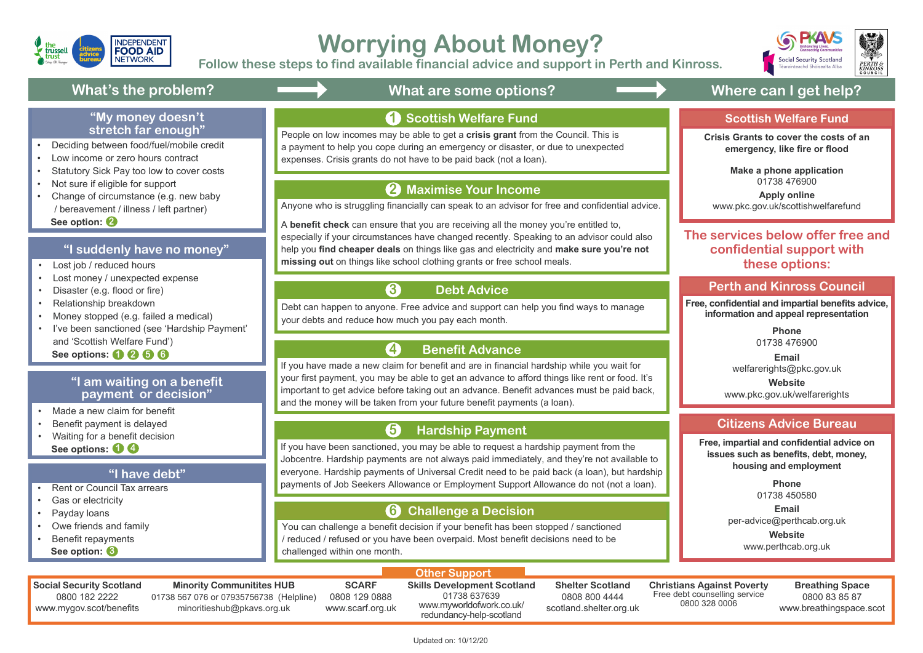#### **"I am waiting on a benefit payment or decision"**

#### **"I have debt"**

- Lost job / reduced hours
- Lost money / unexpected expense
- Disaster (e.g. flood or fire)
- Relationship breakdown
- Money stopped (e.g. failed a medical)
- I've been sanctioned (see 'Hardship Payment' and 'Scottish Welfare Fund')

- Made a new claim for benefit
- Benefit payment is delayed
- Waiting for a benefit decision  **See options: 1 4**

 **See options: 1 2 5 6**

- Deciding between food/fuel/mobile credit
- Low income or zero hours contract
- Statutory Sick Pay too low to cover costs
- Not sure if eligible for support
- Change of circumstance (e.g. new baby / bereavement / illness / left partner)  **See option: 2**

#### **"My money doesn't stretch far enough"**



# **Worrying About Money?**

- Rent or Council Tax arrears
- Gas or electricity
- Payday loans
- Owe friends and family
- Benefit repayments  **See option: 3**

#### **1** Scottish Welfare Fund

**Follow these steps to find available financial advice and support in Perth and Kinross.**

#### **Other Support**

### **Perth and Kinross Council**

#### **"I suddenly have no money"**

Updated on: 10/12/20







## What's the problem? **All and Section** What are some options? **The Canadian Conventions** Where can I get help?

Debt can happen to anyone. Free advice and support can help you find ways to manage your debts and reduce how much you pay each month.

Anyone who is struggling financially can speak to an advisor for free and confidential advice.

A **benefit check** can ensure that you are receiving all the money you're entitled to, especially if your circumstances have changed recently. Speaking to an advisor could also help you **find cheaper deals** on things like gas and electricity and **make sure you're not missing out** on things like school clothing grants or free school meals.

#### **Maximise Your Income 2**

#### **Debt Advice**

You can challenge a benefit decision if your benefit has been stopped / sanctioned / reduced / refused or you have been overpaid. Most benefit decisions need to be challenged within one month.

If you have been sanctioned, you may be able to request a hardship payment from the Jobcentre. Hardship payments are not always paid immediately, and they're not available to everyone. Hardship payments of Universal Credit need to be paid back (a loan), but hardship payments of Job Seekers Allowance or Employment Support Allowance do not (not a loan).

#### **Challenge a Decision 6**

#### **Hardship Payment 5**

If you have made a new claim for benefit and are in financial hardship while you wait for your first payment, you may be able to get an advance to afford things like rent or food. It's important to get advice before taking out an advance. Benefit advances must be paid back, and the money will be taken from your future benefit payments (a loan).

#### **Benefit Advance 4**

People on low incomes may be able to get a **crisis grant** from the Council. This is a payment to help you cope during an emergency or disaster, or due to unexpected expenses. Crisis grants do not have to be paid back (not a loan).

**3**

**Free, confidential and impartial benefits advice, information and appeal representation**

> **Phone** 01738 476900

**Email** welfarerights@pkc.gov.uk **Website**

www.pkc.gov.uk/welfarerights

### **Citizens Advice Bureau**

#### **Scottish Welfare Fund**

**Free, impartial and confidential advice on issues such as benefits, debt, money, housing and employment**

> **Phone** 01738 450580 **Email** per-advice@perthcab.org.uk **Website** www.perthcab.org.uk

**Crisis Grants to cover the costs of an emergency, like fire or flood**

> **Make a phone application** 01738 476900

**Apply online** www.pkc.gov.uk/scottishwelfarefund

**The services below offer free and confidential support with these options:**

**Social Security Scotland** 0800 182 2222 www.mygov.scot/benefits

**Minority Communitites HUB** 01738 567 076 or 07935756738 (Helpline) minoritieshub@pkavs.org.uk

**SCARF** 0808 129 0888 www.scarf.org.uk **Skills Development Scotland** 01738 637639 www.myworldofwork.co.uk/

redundancy-help-scotland

**Shelter Scotland** 0808 800 4444 scotland.shelter.org.uk **Christians Against Poverty** Free debt counselling service 0800 328 0006

**Breathing Space** 0800 83 85 87 www.breathingspace.scot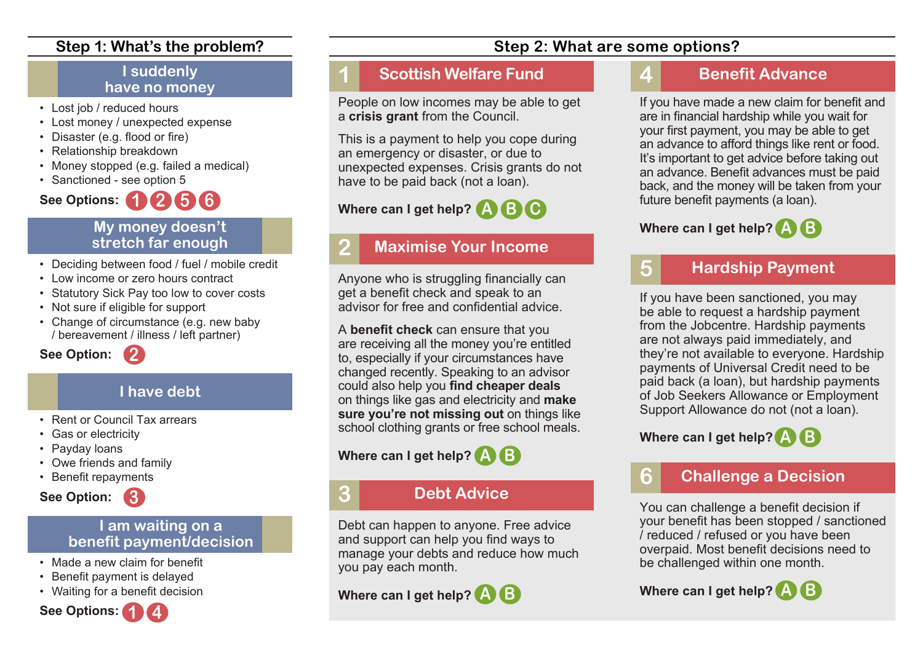#### **Step 1: What's the problem?**

#### **I suddenly have no money**

- Lost job / reduced hours
- Lost money / unexpected expense
- Disaster (e.g. flood or fire)
- Relationship breakdown
- Money stopped (e.g. failed a medical)
- Sanctioned see option 5

## **1 2 5 6 See Options:**

#### **My money doesn't stretch far enough**

- Deciding between food / fuel / mobile credit
- Low income or zero hours contract

**2**

- Statutory Sick Pay too low to cover costs
- Not sure if eligible for support
- Change of circumstance (e.g. new baby / bereavement / illness / left partner)

**See Option:**

#### **I have debt**

- Rent or Council Tax arrears
- Gas or electricity
- Payday loans
- Owe friends and family
- Benefit repayments



#### **I am waiting on a benefit payment/decision**

- Made a new claim for benefit
- Benefit payment is delayed
- Waiting for a benefit decision



#### **1 Scottish Welfare Fund**

People on low incomes may be able to get a **crisis grant** from the Council.

This is a payment to help you cope during an emergency or disaster, or due to unexpected expenses. Crisis grants do not have to be paid back (not a loan).

#### **Where can I get help? C A B**

### **2 Maximise Your Income**

Anyone who is struggling financially can get a benefit check and speak to an advisor for free and confidential advice.

A **benefit check** can ensure that you are receiving all the money you're entitled to, especially if your circumstances have changed recently. Speaking to an advisor could also help you **find cheaper deals** on things like gas and electricity and **make sure you're not missing out** on things like school clothing grants or free school meals.

#### **Where can I get help? A B**

#### **3 Debt Advice**

Debt can happen to anyone. Free advice and support can help you find ways to manage your debts and reduce how much you pay each month.

**Where can I get help? A B**

#### **Step 2: What are some options?**

### **4 Benefit Advance**

If you have made a new claim for benefit and are in financial hardship while you wait for your first payment, you may be able to get an advance to afford things like rent or food. It's important to get advice before taking out an advance. Benefit advances must be paid back, and the money will be taken from your future benefit payments (a loan).

### **Where can I get help? A B**

### **5 Hardship Payment**

If you have been sanctioned, you may be able to request a hardship payment from the Jobcentre. Hardship payments are not always paid immediately, and they're not available to everyone. Hardship payments of Universal Credit need to be paid back (a loan), but hardship payments of Job Seekers Allowance or Employment Support Allowance do not (not a loan).

**Where can I get help? A B**

### **6 Challenge a Decision**

You can challenge a benefit decision if your benefit has been stopped / sanctioned / reduced / refused or you have been overpaid. Most benefit decisions need to be challenged within one month.

**Where can I get help? A B**